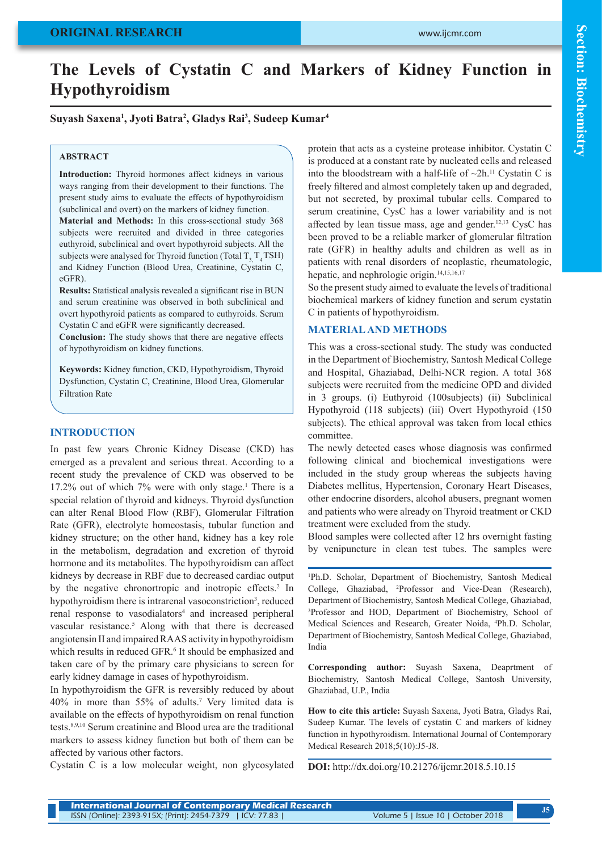# **The Levels of Cystatin C and Markers of Kidney Function in Hypothyroidism**

## **Suyash Saxena1 , Jyoti Batra2 , Gladys Rai3 , Sudeep Kumar4**

#### **ABSTRACT**

**Introduction:** Thyroid hormones affect kidneys in various ways ranging from their development to their functions. The present study aims to evaluate the effects of hypothyroidism (subclinical and overt) on the markers of kidney function.

**Material and Methods:** In this cross-sectional study 368 subjects were recruited and divided in three categories euthyroid, subclinical and overt hypothyroid subjects. All the subjects were analysed for Thyroid function (Total  $T<sub>3</sub> T<sub>4</sub> TSH$ ) and Kidney Function (Blood Urea, Creatinine, Cystatin C, eGFR).

**Results:** Statistical analysis revealed a significant rise in BUN and serum creatinine was observed in both subclinical and overt hypothyroid patients as compared to euthyroids. Serum Cystatin C and eGFR were significantly decreased.

**Conclusion:** The study shows that there are negative effects of hypothyroidism on kidney functions.

**Keywords:** Kidney function, CKD, Hypothyroidism, Thyroid Dysfunction, Cystatin C, Creatinine, Blood Urea, Glomerular Filtration Rate

#### **INTRODUCTION**

In past few years Chronic Kidney Disease (CKD) has emerged as a prevalent and serious threat. According to a recent study the prevalence of CKD was observed to be  $17.2\%$  out of which 7% were with only stage.<sup>1</sup> There is a special relation of thyroid and kidneys. Thyroid dysfunction can alter Renal Blood Flow (RBF), Glomerular Filtration Rate (GFR), electrolyte homeostasis, tubular function and kidney structure; on the other hand, kidney has a key role in the metabolism, degradation and excretion of thyroid hormone and its metabolites. The hypothyroidism can affect kidneys by decrease in RBF due to decreased cardiac output by the negative chronortropic and inotropic effects.<sup>2</sup> In hypothyroidism there is intrarenal vasoconstriction<sup>3</sup>, reduced renal response to vasodialators<sup>4</sup> and increased peripheral vascular resistance.<sup>5</sup> Along with that there is decreased angiotensin II and impaired RAAS activity in hypothyroidism which results in reduced GFR.<sup>6</sup> It should be emphasized and taken care of by the primary care physicians to screen for early kidney damage in cases of hypothyroidism.

In hypothyroidism the GFR is reversibly reduced by about 40% in more than 55% of adults.7 Very limited data is available on the effects of hypothyroidism on renal function tests.8,9,10 Serum creatinine and Blood urea are the traditional markers to assess kidney function but both of them can be affected by various other factors.

Cystatin C is a low molecular weight, non glycosylated

protein that acts as a cysteine protease inhibitor. Cystatin C is produced at a constant rate by nucleated cells and released into the bloodstream with a half-life of  $\sim 2h$ .<sup>11</sup> Cystatin C is freely filtered and almost completely taken up and degraded, but not secreted, by proximal tubular cells. Compared to serum creatinine, CysC has a lower variability and is not affected by lean tissue mass, age and gender.12,13 CysC has been proved to be a reliable marker of glomerular filtration rate (GFR) in healthy adults and children as well as in patients with renal disorders of neoplastic, rheumatologic, hepatic, and nephrologic origin.<sup>14,15,16,17</sup>

So the present study aimed to evaluate the levels of traditional biochemical markers of kidney function and serum cystatin C in patients of hypothyroidism.

#### **MATERIAL AND METHODS**

This was a cross-sectional study. The study was conducted in the Department of Biochemistry, Santosh Medical College and Hospital, Ghaziabad, Delhi-NCR region. A total 368 subjects were recruited from the medicine OPD and divided in 3 groups. (i) Euthyroid (100subjects) (ii) Subclinical Hypothyroid (118 subjects) (iii) Overt Hypothyroid (150 subjects). The ethical approval was taken from local ethics committee.

The newly detected cases whose diagnosis was confirmed following clinical and biochemical investigations were included in the study group whereas the subjects having Diabetes mellitus, Hypertension, Coronary Heart Diseases, other endocrine disorders, alcohol abusers, pregnant women and patients who were already on Thyroid treatment or CKD treatment were excluded from the study.

Blood samples were collected after 12 hrs overnight fasting by venipuncture in clean test tubes. The samples were

1 Ph.D. Scholar, Department of Biochemistry, Santosh Medical College, Ghaziabad, <sup>2</sup>Professor and Vice-Dean (Research), Department of Biochemistry, Santosh Medical College, Ghaziabad, 3 Professor and HOD, Department of Biochemistry, School of Medical Sciences and Research, Greater Noida, <sup>4</sup> Ph.D. Scholar, Department of Biochemistry, Santosh Medical College, Ghaziabad, India

**Corresponding author:** Suyash Saxena, Deaprtment of Biochemistry, Santosh Medical College, Santosh University, Ghaziabad, U.P., India

**How to cite this article:** Suyash Saxena, Jyoti Batra, Gladys Rai, Sudeep Kumar. The levels of cystatin C and markers of kidney function in hypothyroidism. International Journal of Contemporary Medical Research 2018;5(10):J5-J8.

**DOI:** http://dx.doi.org/10.21276/ijcmr.2018.5.10.15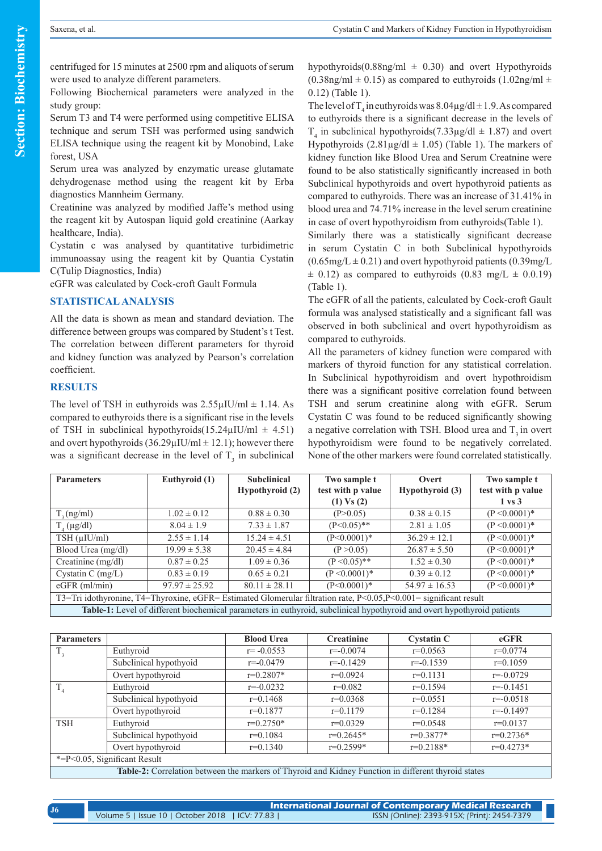centrifuged for 15 minutes at 2500 rpm and aliquots of serum were used to analyze different parameters.

Following Biochemical parameters were analyzed in the study group:

Serum T3 and T4 were performed using competitive ELISA technique and serum TSH was performed using sandwich ELISA technique using the reagent kit by Monobind, Lake forest, USA

Serum urea was analyzed by enzymatic urease glutamate dehydrogenase method using the reagent kit by Erba diagnostics Mannheim Germany.

Creatinine was analyzed by modified Jaffe's method using the reagent kit by Autospan liquid gold creatinine (Aarkay healthcare, India).

Cystatin c was analysed by quantitative turbidimetric immunoassay using the reagent kit by Quantia Cystatin C(Tulip Diagnostics, India)

eGFR was calculated by Cock-croft Gault Formula

### **STATISTICAL ANALYSIS**

All the data is shown as mean and standard deviation. The difference between groups was compared by Student's t Test. The correlation between different parameters for thyroid and kidney function was analyzed by Pearson's correlation coefficient.

#### **RESULTS**

The level of TSH in euthyroids was  $2.55\mu$ IU/ml  $\pm$  1.14. As compared to euthyroids there is a significant rise in the levels of TSH in subclinical hypothyroids( $15.24\mu$ IU/ml  $\pm$  4.51) and overt hypothyroids  $(36.29 \mu IU/ml \pm 12.1)$ ; however there was a significant decrease in the level of  $T<sub>3</sub>$  in subclinical hypothyroids( $0.88$ ng/ml  $\pm$  0.30) and overt Hypothyroids  $(0.38$ ng/ml  $\pm$  0.15) as compared to euthyroids  $(1.02$ ng/ml  $\pm$ 0.12) (Table 1).

The level of  $T_4$  in euthyroids was  $8.04\mu$ g/dl  $\pm$  1.9. As compared to euthyroids there is a significant decrease in the levels of  $T_4$  in subclinical hypothyroids(7.33 $\mu$ g/dl  $\pm$  1.87) and overt Hypothyroids  $(2.81\mu\text{g}/\text{d}l \pm 1.05)$  (Table 1). The markers of kidney function like Blood Urea and Serum Creatnine were found to be also statistically significantly increased in both Subclinical hypothyroids and overt hypothyroid patients as compared to euthyroids. There was an increase of 31.41% in blood urea and 74.71% increase in the level serum creatinine in case of overt hypothyroidism from euthyroids(Table 1).

Similarly there was a statistically significant decrease in serum Cystatin C in both Subclinical hypothyroids  $(0.65mg/L \pm 0.21)$  and overt hypothyroid patients  $(0.39mg/L)$  $\pm$  0.12) as compared to euthyroids (0.83 mg/L  $\pm$  0.0.19) (Table 1).

The eGFR of all the patients, calculated by Cock-croft Gault formula was analysed statistically and a significant fall was observed in both subclinical and overt hypothyroidism as compared to euthyroids.

All the parameters of kidney function were compared with markers of thyroid function for any statistical correlation. In Subclinical hypothyroidism and overt hypothroidism there was a significant positive correlation found between TSH and serum creatinine along with eGFR. Serum Cystatin C was found to be reduced significantly showing a negative correlation with TSH. Blood urea and  $T<sub>3</sub>$  in overt hypothyroidism were found to be negatively correlated. None of the other markers were found correlated statistically.

| <b>Parameters</b>                                                                                                       | Euthyroid (1)     | <b>Subclinical</b><br>Hypothyroid (2) | Two sample t<br>test with p value<br>$(1)$ Vs $(2)$ | Overt<br>Hypothyroid (3) | Two sample t<br>test with p value<br>$1 \text{ vs } 3$ |  |  |  |
|-------------------------------------------------------------------------------------------------------------------------|-------------------|---------------------------------------|-----------------------------------------------------|--------------------------|--------------------------------------------------------|--|--|--|
| T, (ng/ml)                                                                                                              | $1.02 \pm 0.12$   | $0.88 \pm 0.30$                       | (P>0.05)                                            | $0.38 \pm 0.15$          | $(P < 0.0001)*$                                        |  |  |  |
| $T_a(\mu g/dl)$                                                                                                         | $8.04 \pm 1.9$    | $7.33 \pm 1.87$                       | $(P<0.05)$ **                                       | $2.81 \pm 1.05$          | $(P < 0.0001)*$                                        |  |  |  |
| $TSH$ ( $\mu$ IU/ml)                                                                                                    | $2.55 \pm 1.14$   | $15.24 \pm 4.51$                      | $(P<0.0001)*$                                       | $36.29 \pm 12.1$         | $(P < 0.0001)*$                                        |  |  |  |
| Blood Urea (mg/dl)                                                                                                      | $19.99 \pm 5.38$  | $20.45 \pm 4.84$                      | (P > 0.05)                                          | $26.87 \pm 5.50$         | $(P < 0.0001)*$                                        |  |  |  |
| Creatinine (mg/dl)                                                                                                      | $0.87 \pm 0.25$   | $1.09 \pm 0.36$                       | $(P < 0.05)$ **                                     | $1.52 \pm 0.30$          | $(P < 0.0001)*$                                        |  |  |  |
| Cystatin C $(mg/L)$                                                                                                     | $0.83 \pm 0.19$   | $0.65 \pm 0.21$                       | $(P < 0.0001)*$                                     | $0.39 \pm 0.12$          | $(P < 0.0001)*$                                        |  |  |  |
| $eGFR$ (ml/min)                                                                                                         | $97.97 \pm 25.92$ | $80.11 \pm 28.11$                     | $(P<0.0001)*$                                       | $54.97 \pm 16.53$        | $(P < 0.0001)*$                                        |  |  |  |
| T3=Tri idothyronine, T4=Thyroxine, eGFR= Estimated Glomerular filtration rate, P<0.05,P<0.001= significant result       |                   |                                       |                                                     |                          |                                                        |  |  |  |
| Table-1: Level of different biochemical parameters in euthyroid, subclinical hypothyroid and overt hypothyroid patients |                   |                                       |                                                     |                          |                                                        |  |  |  |

| <b>Parameters</b>                                                                                   |                        | <b>Blood Urea</b> | <b>Creatinine</b> | <b>Cystatin C</b> | $e$ GFR       |  |
|-----------------------------------------------------------------------------------------------------|------------------------|-------------------|-------------------|-------------------|---------------|--|
| $T_{3}$                                                                                             | Euthyroid              | $r = -0.0553$     | $r = -0.0074$     | $r=0.0563$        | $r=0.0774$    |  |
|                                                                                                     | Subclinical hypothyoid | $r=-0.0479$       | $r = -0.1429$     | $r = -0.1539$     | $r=0.1059$    |  |
|                                                                                                     | Overt hypothyroid      | $r=0.2807*$       | $r=0.0924$        | $r=0.1131$        | $r = -0.0729$ |  |
| $T_{4}$                                                                                             | Euthyroid              | $r = -0.0232$     | $r=0.082$         | $r=0.1594$        | $r = -0.1451$ |  |
|                                                                                                     | Subclinical hypothyoid | $r=0.1468$        | $r=0.0368$        | $r=0.0551$        | $r = -0.0518$ |  |
|                                                                                                     | Overt hypothyroid      | $r=0.1877$        | $r=0.1179$        | $r=0.1284$        | $r = -0.1497$ |  |
| <b>TSH</b>                                                                                          | Euthyroid              | $r=0.2750*$       | $r=0.0329$        | $r=0.0548$        | $r=0.0137$    |  |
|                                                                                                     | Subclinical hypothyoid | $r=0.1084$        | $r=0.2645*$       | $r=0.3877*$       | $r=0.2736*$   |  |
|                                                                                                     | Overt hypothyroid      | $r=0.1340$        | $r=0.2599*$       | $r=0.2188*$       | $r=0.4273*$   |  |
| $* = P < 0.05$ , Significant Result                                                                 |                        |                   |                   |                   |               |  |
| Table-2: Correlation between the markers of Thyroid and Kidney Function in different thyroid states |                        |                   |                   |                   |               |  |

**International Journal of Contemporary Medical Research**  Volume 5 | Issue 10 | October 2018 | ICV: 77.83 | ISSN (Online): 2393-915X; (Print): 2454-7379 **J6**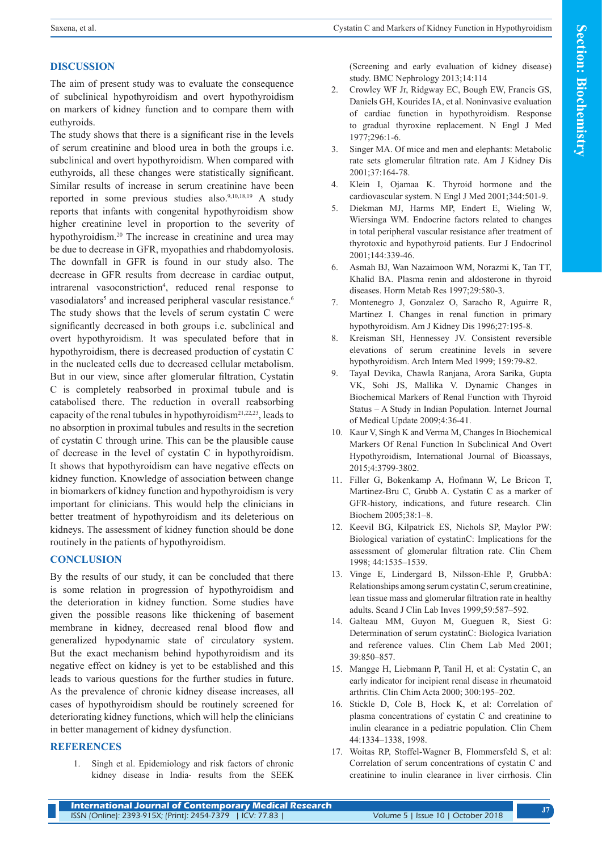## **DISCUSSION**

The aim of present study was to evaluate the consequence of subclinical hypothyroidism and overt hypothyroidism on markers of kidney function and to compare them with euthyroids.

The study shows that there is a significant rise in the levels of serum creatinine and blood urea in both the groups i.e. subclinical and overt hypothyroidism. When compared with euthyroids, all these changes were statistically significant. Similar results of increase in serum creatinine have been reported in some previous studies also.9,10,18,19 A study reports that infants with congenital hypothyroidism show higher creatinine level in proportion to the severity of hypothyroidism.<sup>20</sup> The increase in creatinine and urea may be due to decrease in GFR, myopathies and rhabdomyolosis. The downfall in GFR is found in our study also. The decrease in GFR results from decrease in cardiac output, intrarenal vasoconstriction<sup>4</sup>, reduced renal response to vasodialators<sup>5</sup> and increased peripheral vascular resistance.<sup>6</sup> The study shows that the levels of serum cystatin C were significantly decreased in both groups i.e. subclinical and overt hypothyroidism. It was speculated before that in hypothyroidism, there is decreased production of cystatin C in the nucleated cells due to decreased cellular metabolism. But in our view, since after glomerular filtration, Cystatin C is completely reabsorbed in proximal tubule and is catabolised there. The reduction in overall reabsorbing capacity of the renal tubules in hypothyroidism<sup>21,22,23</sup>, leads to no absorption in proximal tubules and results in the secretion of cystatin C through urine. This can be the plausible cause of decrease in the level of cystatin C in hypothyroidism. It shows that hypothyroidism can have negative effects on kidney function. Knowledge of association between change in biomarkers of kidney function and hypothyroidism is very important for clinicians. This would help the clinicians in better treatment of hypothyroidism and its deleterious on kidneys. The assessment of kidney function should be done routinely in the patients of hypothyroidism.

## **CONCLUSION**

By the results of our study, it can be concluded that there is some relation in progression of hypothyroidism and the deterioration in kidney function. Some studies have given the possible reasons like thickening of basement membrane in kidney, decreased renal blood flow and generalized hypodynamic state of circulatory system. But the exact mechanism behind hypothyroidism and its negative effect on kidney is yet to be established and this leads to various questions for the further studies in future. As the prevalence of chronic kidney disease increases, all cases of hypothyroidism should be routinely screened for deteriorating kidney functions, which will help the clinicians in better management of kidney dysfunction.

## **REFERENCES**

1. Singh et al. Epidemiology and risk factors of chronic kidney disease in India- results from the SEEK (Screening and early evaluation of kidney disease) study. BMC Nephrology 2013;14:114

- 2. Crowley WF Jr, Ridgway EC, Bough EW, Francis GS, Daniels GH, Kourides IA, et al. Noninvasive evaluation of cardiac function in hypothyroidism. Response to gradual thyroxine replacement. N Engl J Med 1977;296:1-6.
- 3. Singer MA. Of mice and men and elephants: Metabolic rate sets glomerular filtration rate. Am J Kidney Dis 2001;37:164-78.
- 4. Klein I, Ojamaa K. Thyroid hormone and the cardiovascular system. N Engl J Med 2001;344:501-9.
- 5. Diekman MJ, Harms MP, Endert E, Wieling W, Wiersinga WM. Endocrine factors related to changes in total peripheral vascular resistance after treatment of thyrotoxic and hypothyroid patients. Eur J Endocrinol 2001;144:339-46.
- 6. Asmah BJ, Wan Nazaimoon WM, Norazmi K, Tan TT, Khalid BA. Plasma renin and aldosterone in thyroid diseases. Horm Metab Res 1997;29:580-3.
- 7. Montenegro J, Gonzalez O, Saracho R, Aguirre R, Martinez I. Changes in renal function in primary hypothyroidism. Am J Kidney Dis 1996;27:195-8.
- 8. Kreisman SH, Hennessey JV. Consistent reversible elevations of serum creatinine levels in severe hypothyroidism. Arch Intern Med 1999; 159:79-82.
- 9. Tayal Devika, Chawla Ranjana, Arora Sarika, Gupta VK, Sohi JS, Mallika V. Dynamic Changes in Biochemical Markers of Renal Function with Thyroid Status – A Study in Indian Population. Internet Journal of Medical Update 2009;4:36-41.
- 10. Kaur V, Singh K and Verma M, Changes In Biochemical Markers Of Renal Function In Subclinical And Overt Hypothyroidism, International Journal of Bioassays, 2015;4:3799-3802.
- 11. Filler G, Bokenkamp A, Hofmann W, Le Bricon T, Martinez-Bru C, Grubb A. Cystatin C as a marker of GFR-history, indications, and future research. Clin Biochem 2005;38:1–8.
- 12. Keevil BG, Kilpatrick ES, Nichols SP, Maylor PW: Biological variation of cystatinC: Implications for the assessment of glomerular filtration rate. Clin Chem 1998; 44:1535–1539.
- 13. Vinge E, Lindergard B, Nilsson-Ehle P, GrubbA: Relationships among serum cystatin C, serum creatinine, lean tissue mass and glomerular filtration rate in healthy adults. Scand J Clin Lab Inves 1999;59:587–592.
- 14. Galteau MM, Guyon M, Gueguen R, Siest G: Determination of serum cystatinC: Biologica lvariation and reference values. Clin Chem Lab Med 2001; 39:850–857.
- 15. Mangge H, Liebmann P, Tanil H, et al: Cystatin C, an early indicator for incipient renal disease in rheumatoid arthritis. Clin Chim Acta 2000; 300:195–202.
- 16. Stickle D, Cole B, Hock K, et al: Correlation of plasma concentrations of cystatin C and creatinine to inulin clearance in a pediatric population. Clin Chem 44:1334–1338, 1998.
- 17. Woitas RP, Stoffel-Wagner B, Flommersfeld S, et al: Correlation of serum concentrations of cystatin C and creatinine to inulin clearance in liver cirrhosis. Clin